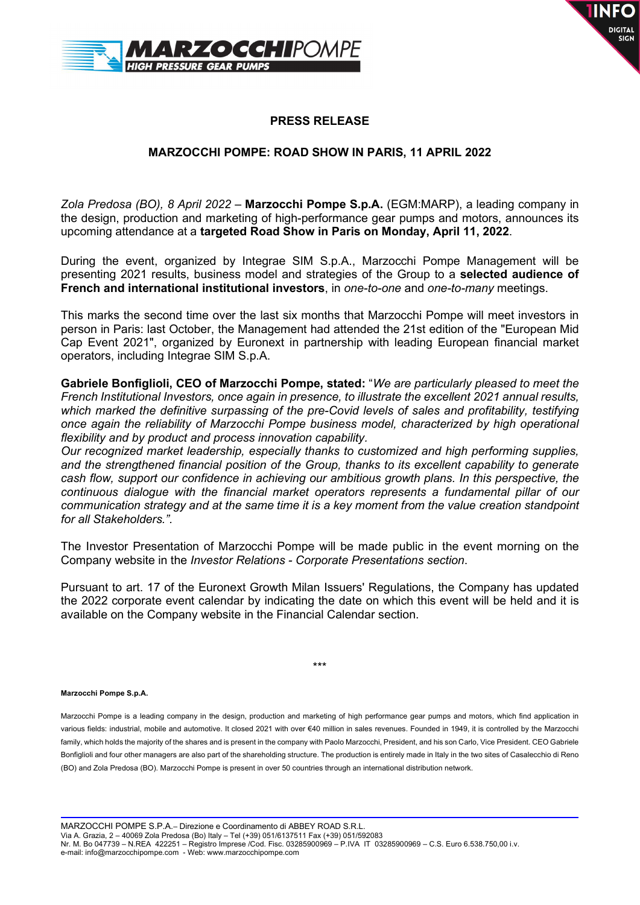



## PRESS RELEASE

## MARZOCCHI POMPE: ROAD SHOW IN PARIS, 11 APRIL 2022

Zola Predosa (BO), 8 April 2022 – Marzocchi Pompe S.p.A. (EGM:MARP), a leading company in the design, production and marketing of high-performance gear pumps and motors, announces its upcoming attendance at a targeted Road Show in Paris on Monday, April 11, 2022.

During the event, organized by Integrae SIM S.p.A., Marzocchi Pompe Management will be presenting 2021 results, business model and strategies of the Group to a selected audience of French and international institutional investors, in one-to-one and one-to-many meetings.

This marks the second time over the last six months that Marzocchi Pompe will meet investors in person in Paris: last October, the Management had attended the 21st edition of the "European Mid Cap Event 2021", organized by Euronext in partnership with leading European financial market operators, including Integrae SIM S.p.A.

Gabriele Bonfiglioli, CEO of Marzocchi Pompe, stated: "We are particularly pleased to meet the French Institutional Investors, once again in presence, to illustrate the excellent 2021 annual results, which marked the definitive surpassing of the pre-Covid levels of sales and profitability, testifying once again the reliability of Marzocchi Pompe business model, characterized by high operational flexibility and by product and process innovation capability.

Our recognized market leadership, especially thanks to customized and high performing supplies, and the strengthened financial position of the Group, thanks to its excellent capability to generate cash flow, support our confidence in achieving our ambitious growth plans. In this perspective, the continuous dialogue with the financial market operators represents a fundamental pillar of our communication strategy and at the same time it is a key moment from the value creation standpoint for all Stakeholders.".

The Investor Presentation of Marzocchi Pompe will be made public in the event morning on the Company website in the Investor Relations - Corporate Presentations section.

Pursuant to art. 17 of the Euronext Growth Milan Issuers' Regulations, the Company has updated the 2022 corporate event calendar by indicating the date on which this event will be held and it is available on the Company website in the Financial Calendar section.

\*\*\*

## Marzocchi Pompe S.p.A.

Marzocchi Pompe is a leading company in the design, production and marketing of high performance gear pumps and motors, which find application in various fields: industrial, mobile and automotive. It closed 2021 with over €40 million in sales revenues. Founded in 1949, it is controlled by the Marzocchi family, which holds the majority of the shares and is present in the company with Paolo Marzocchi, President, and his son Carlo, Vice President. CEO Gabriele Bonfiglioli and four other managers are also part of the shareholding structure. The production is entirely made in Italy in the two sites of Casalecchio di Reno (BO) and Zola Predosa (BO). Marzocchi Pompe is present in over 50 countries through an international distribution network.